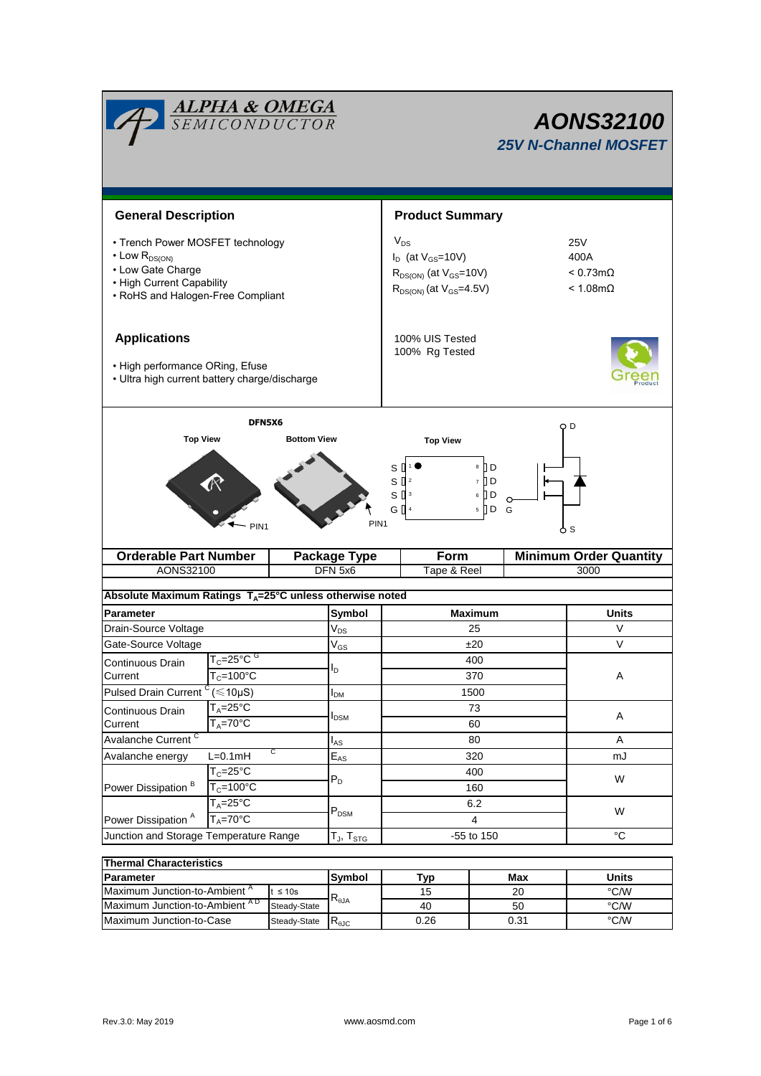| <b>ALPHA &amp; OMEGA</b><br>SEMICONDUCTOR                                                                                                           |                                                     |                                        |             | <b>AONS32100</b><br><b>25V N-Channel MOSFET</b>                                                                                                                                     |                               |              |  |  |
|-----------------------------------------------------------------------------------------------------------------------------------------------------|-----------------------------------------------------|----------------------------------------|-------------|-------------------------------------------------------------------------------------------------------------------------------------------------------------------------------------|-------------------------------|--------------|--|--|
| <b>General Description</b>                                                                                                                          |                                                     |                                        |             | <b>Product Summary</b>                                                                                                                                                              |                               |              |  |  |
|                                                                                                                                                     |                                                     |                                        |             |                                                                                                                                                                                     |                               |              |  |  |
| • Trench Power MOSFET technology<br>$\cdot$ Low $R_{DS(ON)}$<br>• Low Gate Charge<br>• High Current Capability<br>• RoHS and Halogen-Free Compliant |                                                     |                                        |             | $V_{DS}$<br><b>25V</b><br>$I_D$ (at $V_{GS}$ =10V)<br>400A<br>$R_{DS(ON)}$ (at $V_{GS}$ =10V)<br>$< 0.73$ m $\Omega$<br>$R_{DS(ON)}$ (at $V_{GS}$ =4.5V)<br>$< 1.08 \text{m}\Omega$ |                               |              |  |  |
| <b>Applications</b><br>• High performance ORing, Efuse<br>• Ultra high current battery charge/discharge                                             |                                                     |                                        |             | 100% UIS Tested<br>100% Rg Tested                                                                                                                                                   |                               |              |  |  |
| DFN5X6<br><b>Top View</b><br><b>Bottom View</b>                                                                                                     |                                                     |                                        |             | <b>Top View</b>                                                                                                                                                                     | O D                           |              |  |  |
| $8$ D<br>S<br>$S^{2}$<br>$7$ D<br>Jр<br>$S^{3}$<br>6<br>G $\left[\right]$ 4<br>$5 \nD$<br>G<br>PIN <sub>1</sub><br>PIN <sub>1</sub><br>ბs           |                                                     |                                        |             |                                                                                                                                                                                     |                               |              |  |  |
|                                                                                                                                                     | <b>Orderable Part Number</b><br><b>Package Type</b> |                                        |             | Form                                                                                                                                                                                | <b>Minimum Order Quantity</b> |              |  |  |
| AONS32100                                                                                                                                           |                                                     | DFN 5x6                                | Tape & Reel |                                                                                                                                                                                     |                               | 3000         |  |  |
| Absolute Maximum Ratings T <sub>A</sub> =25°C unless otherwise noted                                                                                |                                                     |                                        |             |                                                                                                                                                                                     |                               |              |  |  |
| <b>Parameter</b>                                                                                                                                    |                                                     | Symbol                                 |             | <b>Maximum</b>                                                                                                                                                                      |                               | <b>Units</b> |  |  |
| Drain-Source Voltage                                                                                                                                |                                                     | $\rm V_{\rm DS}$                       |             | 25                                                                                                                                                                                  |                               | $\vee$       |  |  |
| Gate-Source Voltage                                                                                                                                 |                                                     | $\rm V_{GS}$                           |             | ±20                                                                                                                                                                                 |                               | V            |  |  |
| Continuous Drain                                                                                                                                    | $T_c = 25^{\circ}$ C $G$                            | ΙD                                     |             | 400                                                                                                                                                                                 |                               |              |  |  |
|                                                                                                                                                     | $T_c = 100^{\circ}$ C<br>Current                    |                                        |             | 370                                                                                                                                                                                 |                               | Α            |  |  |
| Pulsed Drain Current                                                                                                                                | $(\leq 10 \mu S)$                                   |                                        |             | 1500                                                                                                                                                                                |                               |              |  |  |
| $T_A = 25^{\circ}$ C<br>Continuous Drain                                                                                                            |                                                     | $I_{DSM}$                              |             | 73                                                                                                                                                                                  |                               | Α            |  |  |
| $T_A = 70$ °C<br>Current<br>Avalanche Current <sup>C</sup>                                                                                          |                                                     |                                        |             | 60                                                                                                                                                                                  |                               | A            |  |  |
| С<br>$L=0.1mH$<br>Avalanche energy                                                                                                                  |                                                     | $I_{AS}$<br>$\mathsf{E}_{\mathsf{AS}}$ |             | 80<br>320                                                                                                                                                                           |                               | mJ           |  |  |
|                                                                                                                                                     | $T_c = 25$ °C                                       |                                        |             | 400                                                                                                                                                                                 |                               | W            |  |  |
| Power Dissipation <sup>B</sup>                                                                                                                      | $T_c = 100^{\circ}$ C                               | $P_D$                                  |             | 160                                                                                                                                                                                 |                               |              |  |  |
|                                                                                                                                                     | $T_A = 25^{\circ}$ C                                |                                        |             | 6.2                                                                                                                                                                                 |                               |              |  |  |
| $T_A = 70^{\circ}$ C<br>Power Dissipation <sup>A</sup>                                                                                              |                                                     | $P_{DSM}$                              |             | 4                                                                                                                                                                                   |                               | W            |  |  |
| Junction and Storage Temperature Range                                                                                                              |                                                     | $T_{J}$ , $T_{STG}$                    |             | -55 to 150                                                                                                                                                                          |                               | $^{\circ}C$  |  |  |
| <b>Thermal Characteristics</b>                                                                                                                      |                                                     |                                        |             |                                                                                                                                                                                     |                               |              |  |  |

| lThermal Characteristics                 |               |                        |      |       |      |  |  |  |
|------------------------------------------|---------------|------------------------|------|-------|------|--|--|--|
| <b>Parameter</b>                         | Symbol        | ▼ур                    | Max  | Units |      |  |  |  |
| Maximum Junction-to-Ambient <sup>^</sup> | t $\leq 10$ s |                        | 15   | 20    | °C/W |  |  |  |
| Maximum Junction-to-Ambient AD           | Steady-State  | $R_{\theta$ JA         | 40   | 50    | °C/W |  |  |  |
| <b>IMaximum Junction-to-Case</b>         | Steady-State  | $R_{\theta \text{JC}}$ | 0.26 | 0.31  | °C/W |  |  |  |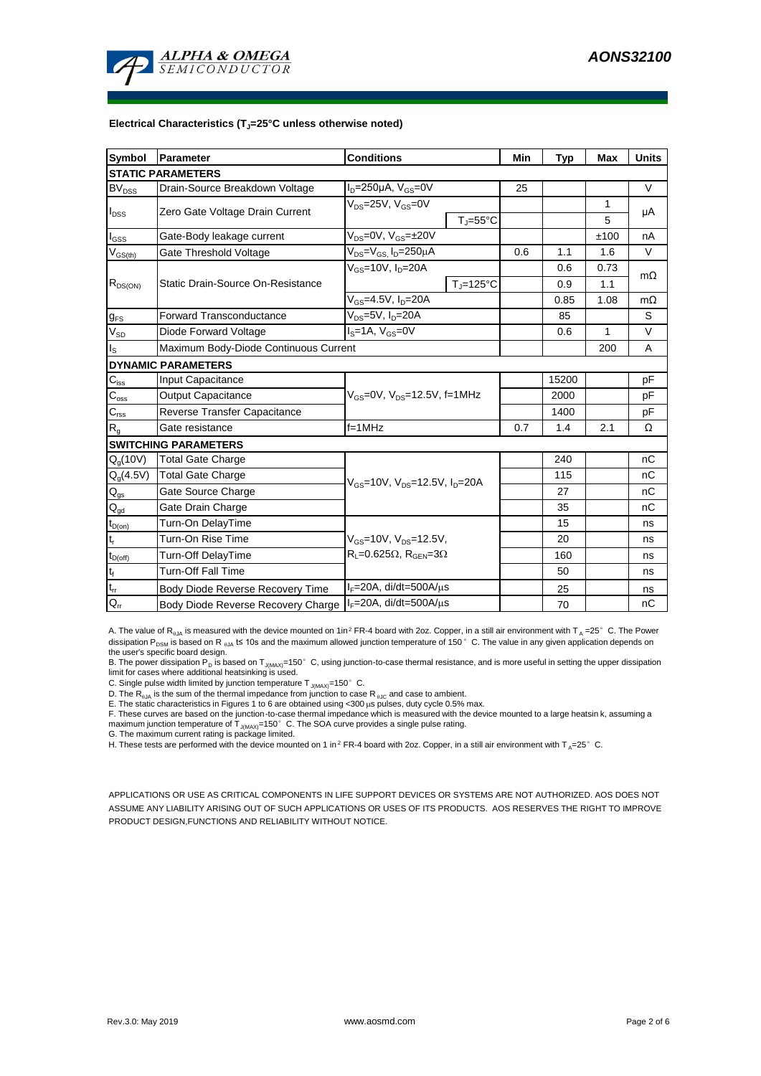

#### **Electrical Characteristics (TJ=25°C unless otherwise noted)**

| Symbol                                 | Parameter                                                  | <b>Conditions</b>                                                            | Min                           | <b>Typ</b> | <b>Max</b> | <b>Units</b> |           |  |  |
|----------------------------------------|------------------------------------------------------------|------------------------------------------------------------------------------|-------------------------------|------------|------------|--------------|-----------|--|--|
| <b>STATIC PARAMETERS</b>               |                                                            |                                                                              |                               |            |            |              |           |  |  |
| $\mathsf{BV}_\mathsf{DSS}$             | Drain-Source Breakdown Voltage                             | $I_D = 250 \mu A$ , $V_{GS} = 0V$                                            |                               | 25         |            |              | $\vee$    |  |  |
| $I_{DSS}$                              | Zero Gate Voltage Drain Current                            | $V_{DS}$ =25V, $V_{GS}$ =0V                                                  |                               |            |            | 1            | μA        |  |  |
|                                        |                                                            |                                                                              | $T_{\parallel} = 55^{\circ}C$ |            |            | 5            |           |  |  |
| $I_{GSS}$                              | Gate-Body leakage current                                  | $V_{DS} = 0V$ , $V_{GS} = \pm 20V$                                           |                               |            |            | ±100         | nA        |  |  |
| $\rm V_{\rm GS(th)}$                   | Gate Threshold Voltage                                     | $V_{DS} = V_{GS}$ , $I_D = 250 \mu A$                                        |                               | 0.6        | 1.1        | 1.6          | $\vee$    |  |  |
| $R_{DS(ON)}$                           | Static Drain-Source On-Resistance                          | $V_{GS}$ =10V, $I_D$ =20A                                                    |                               |            | 0.6        | 0.73         | $m\Omega$ |  |  |
|                                        |                                                            |                                                                              | $T_i = 125$ °C                |            | 0.9        | 1.1          |           |  |  |
|                                        |                                                            | $V_{GS}$ =4.5V, $I_D$ =20A                                                   |                               | 0.85       | 1.08       | $m\Omega$    |           |  |  |
| $g_{FS}$                               | <b>Forward Transconductance</b>                            | $V_{DS} = 5V$ , $I_D = 20A$                                                  |                               | 85         |            | S            |           |  |  |
| $V_{SD}$                               | Diode Forward Voltage                                      | $I_S = 1A$ , $V_{GS} = 0V$                                                   |                               | 0.6        | 1          | $\vee$       |           |  |  |
| I <sub>s</sub>                         | Maximum Body-Diode Continuous Current                      |                                                                              |                               |            | 200        | A            |           |  |  |
| <b>DYNAMIC PARAMETERS</b>              |                                                            |                                                                              |                               |            |            |              |           |  |  |
| $C_{\text{iss}}$                       | Input Capacitance                                          |                                                                              |                               |            | 15200      |              | pF        |  |  |
| $\mathsf{C}_{\mathrm{oss}}$            | <b>Output Capacitance</b>                                  | $V_{GS} = 0V$ , $V_{DS} = 12.5V$ , f=1MHz                                    |                               | 2000       |            | рF           |           |  |  |
| $C_{\text{rss}}$                       | Reverse Transfer Capacitance                               |                                                                              |                               | 1400       |            | pF           |           |  |  |
| $R_{g}$                                | Gate resistance                                            | $f = 1$ MHz                                                                  |                               | 0.7        | 1.4        | 2.1          | Ω         |  |  |
|                                        | <b>SWITCHING PARAMETERS</b>                                |                                                                              |                               |            |            |              |           |  |  |
| $Q_q(10V)$                             | <b>Total Gate Charge</b>                                   | $V_{GS}$ =10V, $V_{DS}$ =12.5V, $I_{D}$ =20A                                 |                               |            | 240        |              | nC        |  |  |
| $Q_g(4.5V)$                            | <b>Total Gate Charge</b>                                   |                                                                              |                               |            | 115        |              | nC        |  |  |
| $\mathsf{Q}_{\text{gs}}$               | Gate Source Charge                                         |                                                                              |                               |            | 27         |              | nC        |  |  |
| $\mathsf{Q}_{\underline{\mathsf{gd}}}$ | Gate Drain Charge                                          |                                                                              |                               |            | 35         |              | nC        |  |  |
| $t_{D(on)}$                            | Turn-On DelayTime                                          | $V_{GS}$ =10V, $V_{DS}$ =12.5V,<br>$R_L = 0.625\Omega$ , $R_{GEN} = 3\Omega$ |                               |            | 15         |              | ns        |  |  |
| t,                                     | Turn-On Rise Time                                          |                                                                              |                               |            | 20         |              | ns        |  |  |
| $t_{D(off)}$                           | <b>Turn-Off DelayTime</b>                                  |                                                                              |                               |            | 160        |              | ns        |  |  |
| $\mathsf{t}_{\mathsf{f}}$              | <b>Turn-Off Fall Time</b>                                  |                                                                              |                               |            | 50         |              | ns        |  |  |
| $\mathsf{t}_{\mathsf{rr}}$             | Body Diode Reverse Recovery Time                           | $I_F = 20A$ , di/dt=500A/ $\mu$ s                                            |                               |            | 25         |              | ns        |  |  |
| $Q_{rr}$                               | Body Diode Reverse Recovery Charge   IF=20A, di/dt=500A/µs |                                                                              |                               |            | 70         |              | nC        |  |  |

A. The value of R<sub>BJA</sub> is measured with the device mounted on 1in<sup>2</sup> FR-4 board with 2oz. Copper, in a still air environment with T<sub>A</sub> =25°C. The Power dissipation P<sub>DSM</sub> is based on R <sub>0JA</sub> t≤ 10s and the maximum allowed junction temperature of 150°C. The value in any given application depends on the user's specific board design.

B. The power dissipation P<sub>D</sub> is based on T<sub>J(MAX)</sub>=150°C, using junction-to-case thermal resistance, and is more useful in setting the upper dissipation limit for cases where additional heatsinking is used.

C. Single pulse width limited by junction temperature  $T_{J(MAX)}$ =150°C.

D. The  $R_{a_1a}$  is the sum of the thermal impedance from junction to case  $R_{a_1c}$  and case to ambient.

E. The static characteristics in Figures 1 to 6 are obtained using <300 μs pulses, duty cycle 0.5% max.<br>F. These curves are based on the junction-to-case thermal impedance which is measured with the device mounted to a la maximum junction temperature of  $T_{J(MAX)}$ =150°C. The SOA curve provides a single pulse rating.

G. The maximum current rating is package limited.

H. These tests are performed with the device mounted on 1 in<sup>2</sup> FR-4 board with 2oz. Copper, in a still air environment with T<sub>A</sub>=25°C.

APPLICATIONS OR USE AS CRITICAL COMPONENTS IN LIFE SUPPORT DEVICES OR SYSTEMS ARE NOT AUTHORIZED. AOS DOES NOT ASSUME ANY LIABILITY ARISING OUT OF SUCH APPLICATIONS OR USES OF ITS PRODUCTS. AOS RESERVES THE RIGHT TO IMPROVE PRODUCT DESIGN,FUNCTIONS AND RELIABILITY WITHOUT NOTICE.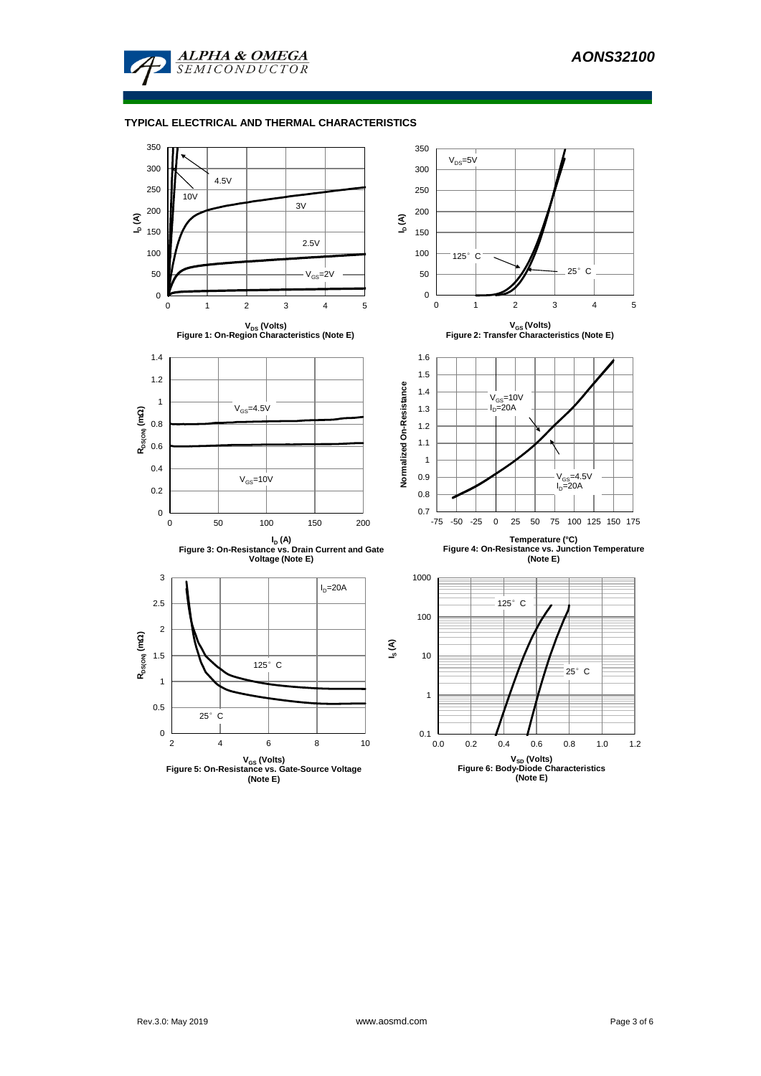

# **TYPICAL ELECTRICAL AND THERMAL CHARACTERISTICS**

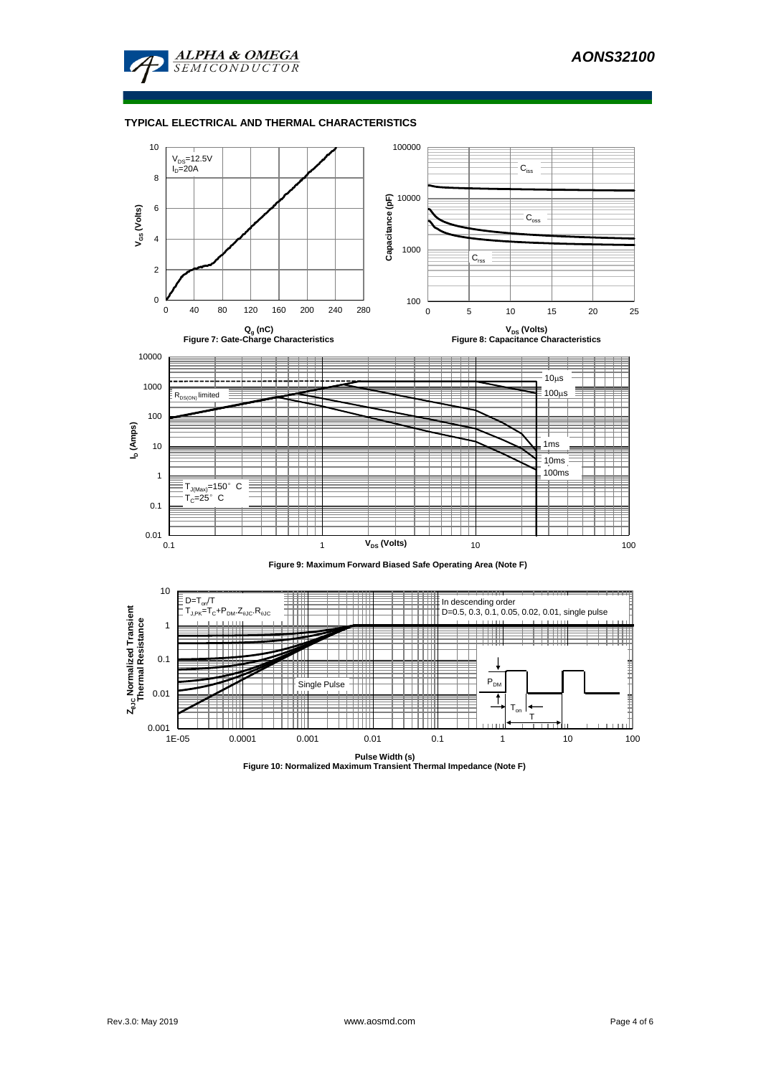

### **TYPICAL ELECTRICAL AND THERMAL CHARACTERISTICS**

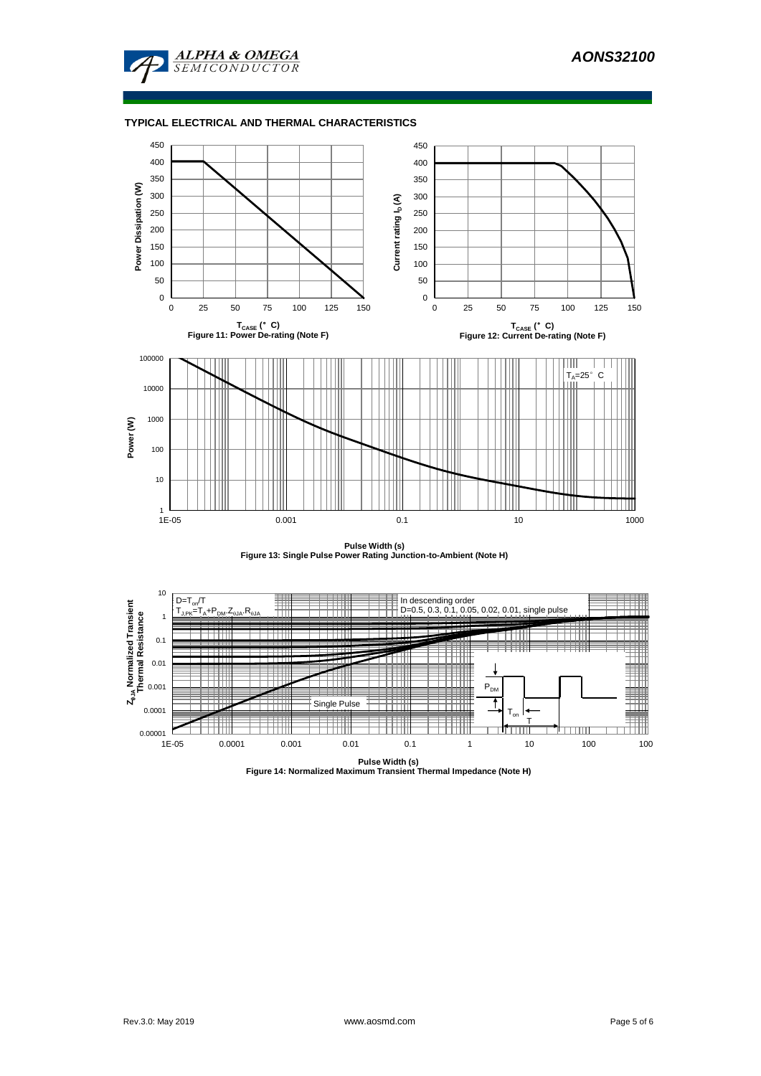

## **TYPICAL ELECTRICAL AND THERMAL CHARACTERISTICS**



**Pulse Width (s) Figure 13: Single Pulse Power Rating Junction-to-Ambient (Note H)**



**Pulse Width (s) Figure 14: Normalized Maximum Transient Thermal Impedance (Note H)**